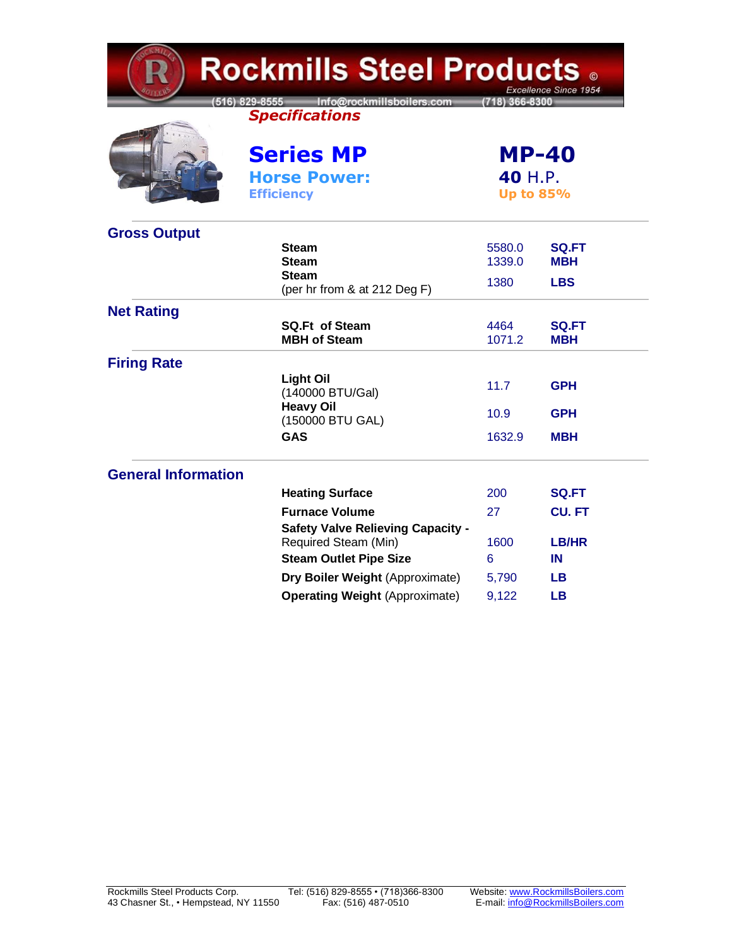| <b>Rockmills Steel Products .</b><br>Excellence Since 1954 |                                                                  |                                             |                            |  |  |
|------------------------------------------------------------|------------------------------------------------------------------|---------------------------------------------|----------------------------|--|--|
|                                                            | 516) 829-8555 Info@rockmillsboilers.com<br><b>Specifications</b> | (718) 366-8300                              |                            |  |  |
|                                                            | <b>Series MP</b>                                                 | <b>MP-40</b><br>40 H.P.<br><b>Up to 85%</b> |                            |  |  |
|                                                            | <b>Horse Power:</b><br><b>Efficiency</b>                         |                                             |                            |  |  |
| <b>Gross Output</b>                                        |                                                                  |                                             |                            |  |  |
|                                                            | <b>Steam</b><br><b>Steam</b>                                     | 5580.0<br>1339.0                            | <b>SQ.FT</b><br><b>MBH</b> |  |  |
|                                                            | <b>Steam</b><br>(per hr from & at 212 Deg F)                     | 1380                                        | <b>LBS</b>                 |  |  |
| <b>Net Rating</b>                                          |                                                                  |                                             |                            |  |  |
|                                                            | <b>SQ.Ft of Steam</b><br><b>MBH of Steam</b>                     | 4464<br>1071.2                              | <b>SQ.FT</b><br><b>MBH</b> |  |  |
| <b>Firing Rate</b>                                         |                                                                  |                                             |                            |  |  |
|                                                            | <b>Light Oil</b><br>(140000 BTU/Gal)                             | 11.7                                        | <b>GPH</b>                 |  |  |
|                                                            | <b>Heavy Oil</b><br>(150000 BTU GAL)                             | 10.9                                        | <b>GPH</b>                 |  |  |
|                                                            | <b>GAS</b>                                                       | 1632.9                                      | <b>MBH</b>                 |  |  |
| <b>General Information</b>                                 |                                                                  |                                             |                            |  |  |
|                                                            | <b>Heating Surface</b>                                           | 200                                         | SQ.FT                      |  |  |
|                                                            | <b>Furnace Volume</b>                                            | 27                                          | <b>CU.FT</b>               |  |  |
|                                                            | <b>Safety Valve Relieving Capacity -</b><br>Required Steam (Min) | 1600                                        | <b>LB/HR</b>               |  |  |
|                                                            | <b>Steam Outlet Pipe Size</b>                                    | 6                                           | IN                         |  |  |
|                                                            | Dry Boiler Weight (Approximate)                                  | 5,790                                       | <b>LB</b>                  |  |  |
|                                                            | <b>Operating Weight (Approximate)</b>                            | 9,122                                       | <b>LB</b>                  |  |  |

**CKMIL**